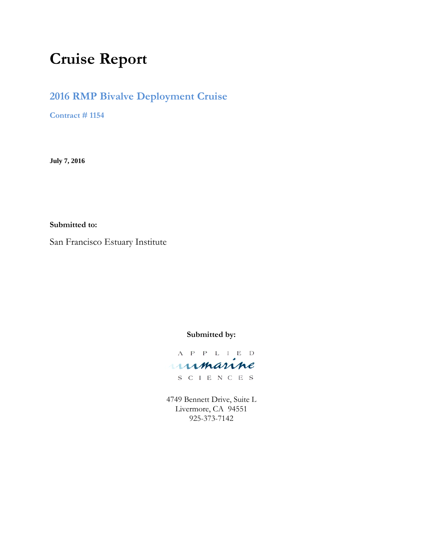# **Cruise Report**

# **2016 RMP Bivalve Deployment Cruise**

**Contract # 1154**

**July 7, 2016**

**Submitted to:**

San Francisco Estuary Institute

**Submitted by:**

 $\begin{tabular}{ccccc} A & P & P & L & I & E & D \end{tabular}$ unmanne

S C I E N C E S

4749 Bennett Drive, Suite L Livermore, CA 94551 925-373-7142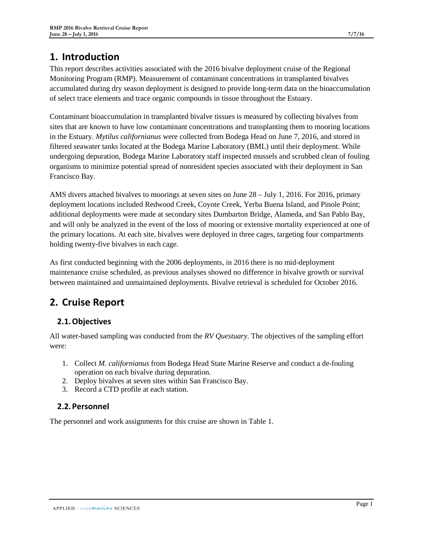# **1. Introduction**

This report describes activities associated with the 2016 bivalve deployment cruise of the Regional Monitoring Program (RMP). Measurement of contaminant concentrations in transplanted bivalves accumulated during dry season deployment is designed to provide long-term data on the bioaccumulation of select trace elements and trace organic compounds in tissue throughout the Estuary.

Contaminant bioaccumulation in transplanted bivalve tissues is measured by collecting bivalves from sites that are known to have low contaminant concentrations and transplanting them to mooring locations in the Estuary. *Mytilus californianus* were collected from Bodega Head on June 7, 2016, and stored in filtered seawater tanks located at the Bodega Marine Laboratory (BML) until their deployment. While undergoing depuration, Bodega Marine Laboratory staff inspected mussels and scrubbed clean of fouling organisms to minimize potential spread of nonresident species associated with their deployment in San Francisco Bay.

AMS divers attached bivalves to moorings at seven sites on June 28 – July 1, 2016. For 2016, primary deployment locations included Redwood Creek, Coyote Creek, Yerba Buena Island, and Pinole Point; additional deployments were made at secondary sites Dumbarton Bridge, Alameda, and San Pablo Bay, and will only be analyzed in the event of the loss of mooring or extensive mortality experienced at one of the primary locations. At each site, bivalves were deployed in three cages, targeting four compartments holding twenty-five bivalves in each cage.

As first conducted beginning with the 2006 deployments, in 2016 there is no mid-deployment maintenance cruise scheduled, as previous analyses showed no difference in bivalve growth or survival between maintained and unmaintained deployments. Bivalve retrieval is scheduled for October 2016.

# **2. Cruise Report**

# **2.1.Objectives**

All water-based sampling was conducted from the *RV Questuary*. The objectives of the sampling effort were:

- 1. Collect *M. californianus* from Bodega Head State Marine Reserve and conduct a de-fouling operation on each bivalve during depuration.
- 2. Deploy bivalves at seven sites within San Francisco Bay.
- 3. Record a CTD profile at each station.

### **2.2.Personnel**

The personnel and work assignments for this cruise are shown in [Table 1.](#page-2-0)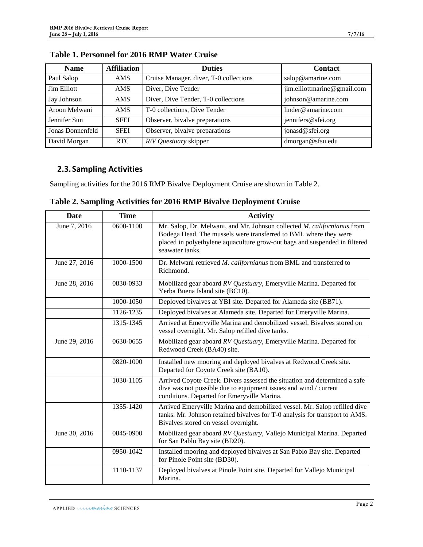| <b>Name</b>      | <b>Affiliation</b> | <b>Duties</b>                          | <b>Contact</b>              |
|------------------|--------------------|----------------------------------------|-----------------------------|
| Paul Salop       | AMS                | Cruise Manager, diver, T-0 collections | salop@amarine.com           |
| Jim Elliott      | AMS.               | Diver, Dive Tender                     | jim.elliottmarine@gmail.com |
| Jay Johnson      | AMS.               | Diver, Dive Tender, T-0 collections    | johnson@amarine.com         |
| Aroon Melwani    | AMS.               | T-0 collections, Dive Tender           | linder@amarine.com          |
| Jennifer Sun     | <b>SFEI</b>        | Observer, bivalve preparations         | jennifers@sfei.org          |
| Jonas Donnenfeld | <b>SFEI</b>        | Observer, bivalve preparations         | jonasd@sfei.org             |
| David Morgan     | <b>RTC</b>         | R/V Questuary skipper                  | dmorgan@sfsu.edu            |

### <span id="page-2-0"></span>**Table 1. Personnel for 2016 RMP Water Cruise**

## **2.3.Sampling Activities**

Sampling activities for the 2016 RMP Bivalve Deployment Cruise are shown in [Table 2.](#page-2-1)

| Date          | <b>Time</b> | <b>Activity</b>                                                                                                                                                                                                                              |
|---------------|-------------|----------------------------------------------------------------------------------------------------------------------------------------------------------------------------------------------------------------------------------------------|
| June 7, 2016  | 0600-1100   | Mr. Salop, Dr. Melwani, and Mr. Johnson collected M. californianus from<br>Bodega Head. The mussels were transferred to BML where they were<br>placed in polyethylene aquaculture grow-out bags and suspended in filtered<br>seawater tanks. |
| June 27, 2016 | 1000-1500   | Dr. Melwani retrieved M. californianus from BML and transferred to<br>Richmond.                                                                                                                                                              |
| June 28, 2016 | 0830-0933   | Mobilized gear aboard RV Questuary, Emeryville Marina. Departed for<br>Yerba Buena Island site (BC10).                                                                                                                                       |
|               | 1000-1050   | Deployed bivalves at YBI site. Departed for Alameda site (BB71).                                                                                                                                                                             |
|               | 1126-1235   | Deployed bivalves at Alameda site. Departed for Emeryville Marina.                                                                                                                                                                           |
|               | 1315-1345   | Arrived at Emeryville Marina and demobilized vessel. Bivalves stored on<br>vessel overnight. Mr. Salop refilled dive tanks.                                                                                                                  |
| June 29, 2016 | 0630-0655   | Mobilized gear aboard RV Questuary, Emeryville Marina. Departed for<br>Redwood Creek (BA40) site.                                                                                                                                            |
|               | 0820-1000   | Installed new mooring and deployed bivalves at Redwood Creek site.<br>Departed for Coyote Creek site (BA10).                                                                                                                                 |
|               | 1030-1105   | Arrived Coyote Creek. Divers assessed the situation and determined a safe<br>dive was not possible due to equipment issues and wind / current<br>conditions. Departed for Emeryville Marina.                                                 |
|               | 1355-1420   | Arrived Emeryville Marina and demobilized vessel. Mr. Salop refilled dive<br>tanks. Mr. Johnson retained bivalves for T-0 analysis for transport to AMS.<br>Bivalves stored on vessel overnight.                                             |
| June 30, 2016 | 0845-0900   | Mobilized gear aboard RV Questuary, Vallejo Municipal Marina. Departed<br>for San Pablo Bay site (BD20).                                                                                                                                     |
|               | 0950-1042   | Installed mooring and deployed bivalves at San Pablo Bay site. Departed<br>for Pinole Point site (BD30).                                                                                                                                     |
|               | 1110-1137   | Deployed bivalves at Pinole Point site. Departed for Vallejo Municipal<br>Marina.                                                                                                                                                            |

<span id="page-2-1"></span>**Table 2. Sampling Activities for 2016 RMP Bivalve Deployment Cruise**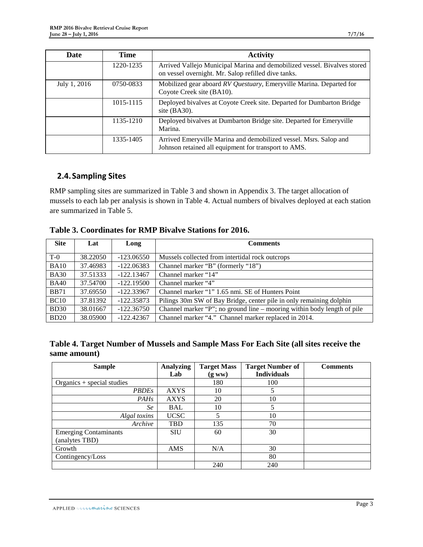| Date         | <b>Time</b> | <b>Activity</b>                                                                                                                 |
|--------------|-------------|---------------------------------------------------------------------------------------------------------------------------------|
|              | 1220-1235   | Arrived Vallejo Municipal Marina and demobilized vessel. Bivalves stored<br>on vessel overnight. Mr. Salop refilled dive tanks. |
| July 1, 2016 | 0750-0833   | Mobilized gear aboard RV Questuary, Emeryville Marina. Departed for<br>Coyote Creek site (BA10).                                |
|              | 1015-1115   | Deployed bivalves at Coyote Creek site. Departed for Dumbarton Bridge<br>site $(BA30)$ .                                        |
|              | 1135-1210   | Deployed bivalves at Dumbarton Bridge site. Departed for Emeryville<br>Marina.                                                  |
|              | 1335-1405   | Arrived Emeryville Marina and demobilized vessel. Msrs. Salop and<br>Johnson retained all equipment for transport to AMS.       |

## **2.4.Sampling Sites**

RMP sampling sites are summarized in [Table 3](#page-3-0) and shown in Appendix [3.](#page-6-0) The target allocation of mussels to each lab per analysis is shown in [Table 4.](#page-3-1) Actual numbers of bivalves deployed at each station are summarized in [Table 5.](#page-3-2)

#### <span id="page-3-0"></span>**Table 3. Coordinates for RMP Bivalve Stations for 2016.**

| <b>Site</b> | Lat      | Long         | <b>Comments</b>                                                         |
|-------------|----------|--------------|-------------------------------------------------------------------------|
| $T-0$       | 38.22050 | $-123.06550$ | Mussels collected from intertidal rock outcrops                         |
| <b>BA10</b> | 37.46983 | $-122.06383$ | Channel marker "B" (formerly "18")                                      |
| <b>BA30</b> | 37.51333 | $-122.13467$ | Channel marker "14"                                                     |
| <b>BA40</b> | 37.54700 | $-122.19500$ | Channel marker "4"                                                      |
| <b>BB71</b> | 37.69550 | $-122.33967$ | Channel marker "1" 1.65 nmi. SE of Hunters Point                        |
| BC10        | 37.81392 | $-122.35873$ | Pilings 30m SW of Bay Bridge, center pile in only remaining dolphin     |
| <b>BD30</b> | 38.01667 | $-122.36750$ | Channel marker "P"; no ground line – mooring within body length of pile |
| BD20        | 38.05900 | $-122.42367$ | Channel marker "4." Channel marker replaced in 2014.                    |

<span id="page-3-1"></span>

|              |  |  | Table 4. Target Number of Mussels and Sample Mass For Each Site (all sites receive the |  |
|--------------|--|--|----------------------------------------------------------------------------------------|--|
| same amount) |  |  |                                                                                        |  |

<span id="page-3-2"></span>

| <b>Sample</b>                | <b>Analyzing</b> | <b>Target Mass</b> | <b>Target Number of</b> | <b>Comments</b> |
|------------------------------|------------------|--------------------|-------------------------|-----------------|
|                              | Lab              | (gww)              | <b>Individuals</b>      |                 |
| Organics + special studies   |                  | 180                | 100                     |                 |
| <b>PBDEs</b>                 | <b>AXYS</b>      | 10                 | 5                       |                 |
| <b>PAHs</b>                  | <b>AXYS</b>      | 20                 | 10                      |                 |
| Se                           | <b>BAL</b>       | 10                 | 5                       |                 |
| Algal toxins                 | <b>UCSC</b>      |                    | 10                      |                 |
| Archive                      | <b>TBD</b>       | 135                | 70                      |                 |
| <b>Emerging Contaminants</b> | <b>SIU</b>       | 60                 | 30                      |                 |
| (analytes TBD)               |                  |                    |                         |                 |
| Growth                       | <b>AMS</b>       | N/A                | 30                      |                 |
| Contingency/Loss             |                  |                    | 80                      |                 |
|                              |                  | 240                | 240                     |                 |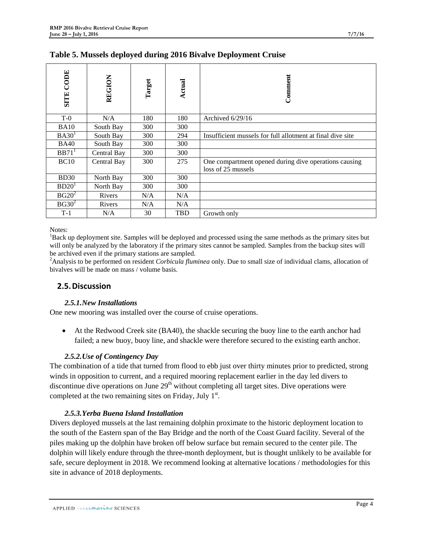| CODE<br><b>SITE</b> | <b>REGION</b> | Target | <b>Actual</b> | Comment                                                                     |
|---------------------|---------------|--------|---------------|-----------------------------------------------------------------------------|
| $T-0$               | N/A           | 180    | 180           | Archived 6/29/16                                                            |
| <b>BA10</b>         | South Bay     | 300    | 300           |                                                                             |
| BA30 <sup>1</sup>   | South Bay     | 300    | 294           | Insufficient mussels for full allotment at final dive site                  |
| <b>BA40</b>         | South Bay     | 300    | 300           |                                                                             |
| BB71 <sup>1</sup>   | Central Bay   | 300    | 300           |                                                                             |
| BC10                | Central Bay   | 300    | 275           | One compartment opened during dive operations causing<br>loss of 25 mussels |
| BD30                | North Bay     | 300    | 300           |                                                                             |
| BD20 <sup>1</sup>   | North Bay     | 300    | 300           |                                                                             |
| $BG20^2$            | <b>Rivers</b> | N/A    | N/A           |                                                                             |
| $BG30^2$            | <b>Rivers</b> | N/A    | N/A           |                                                                             |
| $T-1$               | N/A           | 30     | <b>TBD</b>    | Growth only                                                                 |

Notes:

<sup>1</sup>Back up deployment site. Samples will be deployed and processed using the same methods as the primary sites but will only be analyzed by the laboratory if the primary sites cannot be sampled. Samples from the backup sites will be archived even if the primary stations are sampled.

Analysis to be performed on resident *Corbicula fluminea* only. Due to small size of individual clams, allocation of bivalves will be made on mass / volume basis.

### **2.5.Discussion**

#### *2.5.1.New Installations*

One new mooring was installed over the course of cruise operations.

• At the Redwood Creek site (BA40), the shackle securing the buoy line to the earth anchor had failed; a new buoy, buoy line, and shackle were therefore secured to the existing earth anchor.

#### *2.5.2.Use of Contingency Day*

The combination of a tide that turned from flood to ebb just over thirty minutes prior to predicted, strong winds in opposition to current, and a required mooring replacement earlier in the day led divers to discontinue dive operations on June  $29<sup>th</sup>$  without completing all target sites. Dive operations were completed at the two remaining sites on Friday, July  $1<sup>st</sup>$ .

#### *2.5.3.Yerba Buena Island Installation*

Divers deployed mussels at the last remaining dolphin proximate to the historic deployment location to the south of the Eastern span of the Bay Bridge and the north of the Coast Guard facility. Several of the piles making up the dolphin have broken off below surface but remain secured to the center pile. The dolphin will likely endure through the three-month deployment, but is thought unlikely to be available for safe, secure deployment in 2018. We recommend looking at alternative locations / methodologies for this site in advance of 2018 deployments.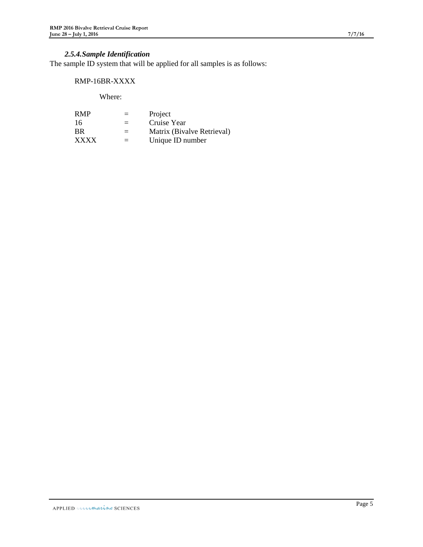## *2.5.4.Sample Identification*

The sample ID system that will be applied for all samples is as follows:

#### RMP-16BR-XXXX

Where:

| <b>RMP</b>  | $=$ | Project                    |
|-------------|-----|----------------------------|
| 16          | $=$ | Cruise Year                |
| <b>BR</b>   | $=$ | Matrix (Bivalve Retrieval) |
| <b>XXXX</b> | $=$ | Unique ID number           |